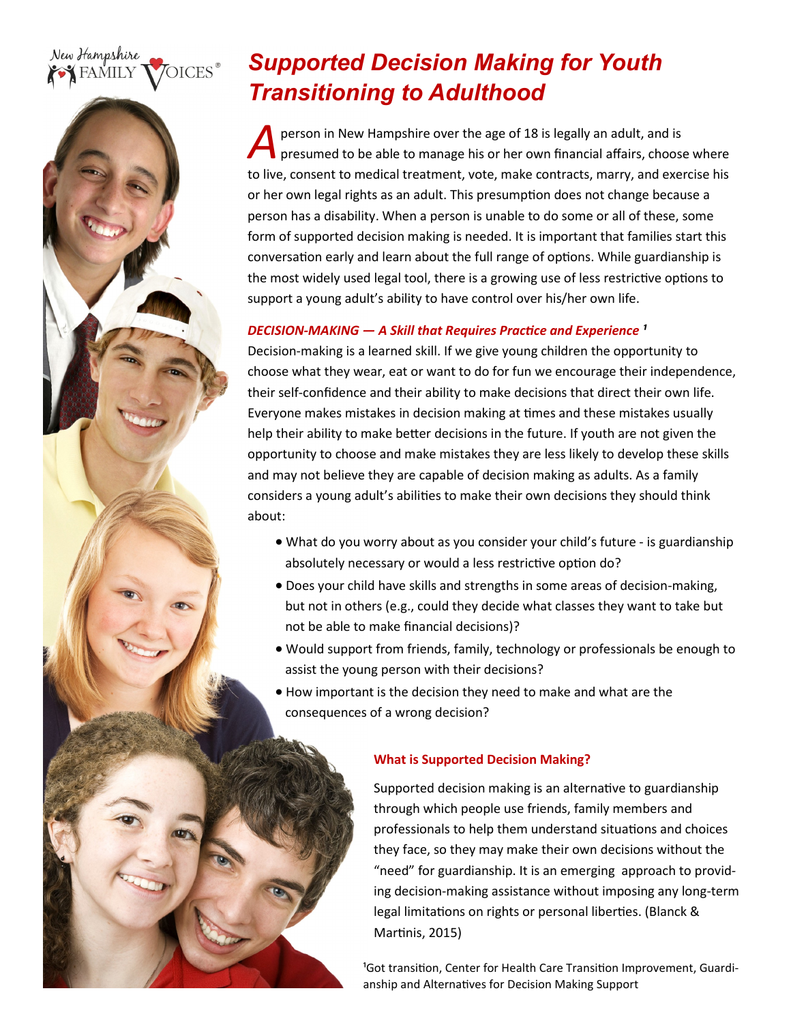#### New Hampshire OICES<sup>®</sup> **FAMILY**

# *Supported Decision Making for Youth Transitioning to Adulthood*

*A* person in New Hampshire over the age of 18 is legally an adult, and is presumed to be able to manage his or her own financial affairs, choose where to live, consent to medical treatment, vote, make contracts, marry, and exercise his or her own legal rights as an adult. This presumption does not change because a person has a disability. When a person is unable to do some or all of these, some form of supported decision making is needed. It is important that families start this conversation early and learn about the full range of options. While guardianship is the most widely used legal tool, there is a growing use of less restrictive options to support a young adult's ability to have control over his/her own life.

# *DECISION-MAKING — A Skill that Requires Practice and Experience ¹*

Decision-making is a learned skill. If we give young children the opportunity to choose what they wear, eat or want to do for fun we encourage their independence, their self-confidence and their ability to make decisions that direct their own life. Everyone makes mistakes in decision making at times and these mistakes usually help their ability to make better decisions in the future. If youth are not given the opportunity to choose and make mistakes they are less likely to develop these skills and may not believe they are capable of decision making as adults. As a family considers a young adult's abilities to make their own decisions they should think about:

- What do you worry about as you consider your child's future is guardianship absolutely necessary or would a less restrictive option do?
- Does your child have skills and strengths in some areas of decision-making, but not in others (e.g., could they decide what classes they want to take but not be able to make financial decisions)?
- Would support from friends, family, technology or professionals be enough to assist the young person with their decisions?
- How important is the decision they need to make and what are the consequences of a wrong decision?

## **What is Supported Decision Making?**

Supported decision making is an alternative to guardianship through which people use friends, family members and professionals to help them understand situations and choices they face, so they may make their own decisions without the "need" for guardianship. It is an emerging approach to providing decision-making assistance without imposing any long-term legal limitations on rights or personal liberties. (Blanck & Martinis, 2015)

<sup>1</sup>Got transition, Center for Health Care Transition Improvement, Guardianship and Alternatives for Decision Making Support